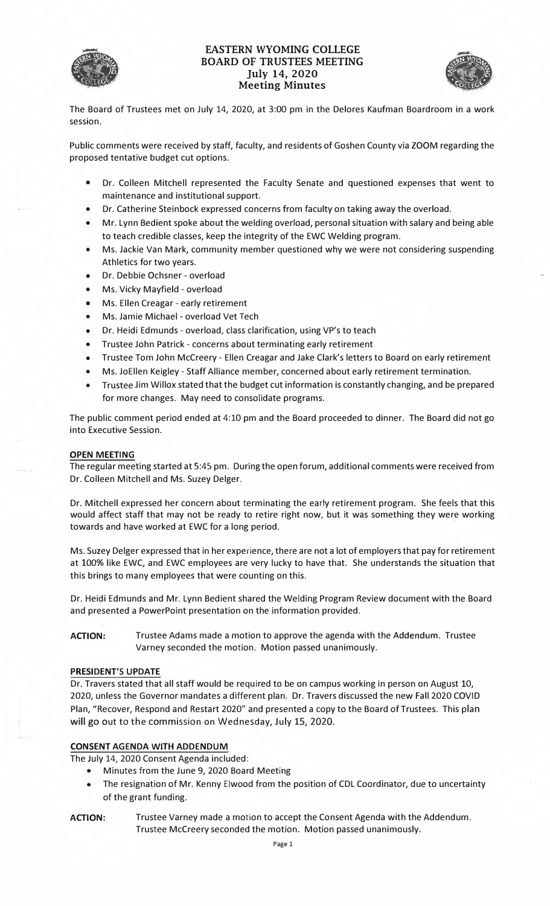

# EASTERN WYOMING COLLEGE<br>BOARD OF TRUSTEES MEETING<br>July 14, 2020<br>Meeting Minutes **BOARD OF TRUSTEES MEETING**  July 14, 2020 **Meeting Minutes**



The Board of Trustees met on July 14, 2020, at 3:00 pm in the Delores Kaufman Boardroom in a work session.

Public comments were received by staff, faculty, and residents of Goshen County via ZOOM regarding the proposed tentative budget cut options.

- Dr. Colleen Mitchell represented the Faculty Senate and questioned expenses that went to maintenance and institutional support.
- Dr. Catherine Steinbock expressed concerns from faculty on taking away the overload.
- Mr. Lynn Bedient spoke about the welding overload, personal situation with salary and being able to teach credible classes, keep the integrity of the EWC Welding program.
- Ms. Jackie Van Mark, community member questioned why we were not considering suspending Athletics for two years.
- Dr. Debbie Ochsner overload
- Ms. Vicky Mayfield overload
- Ms. Ellen Creagar early retirement
- Ms. Jamie Michael overload Vet Tech
- Dr. Heidi Edmunds overload, class clarification, using VP's to teach
- Trustee John Patrick concerns about terminating early retirement
- Trustee Tom John Mccreery Ellen Creagar and Jake Clark's letters to Board on early retirement
- Ms. JoEllen Keigley Staff Alliance member, concerned about early retirement termination.
- Trustee Jim Willox stated that the budget cut information is constantly changing, and be prepared for more changes. May need to consolidate programs.

The public comment period ended at 4:10 pm and the Board proceeded to dinner. The Board did not go into Executive Session.

## **OPEN MEETING**

The regular meeting started at 5:45 pm. During the open forum, additional comments were received from Dr. Colleen Mitchell and Ms. Suzey Delger.

Dr. Mitchell expressed her concern about terminating the early retirement program. She feels that this would affect staff that may not be ready to retire right now, but it was something they were working towards and have worked at EWC for a long period.

Ms. Suzey Delger expressed that in her experience, there are not a lot of employers that pay for retirement at 100% like EWC, and EWC employees are very lucky to have that. She understands the situation that this brings to many employees that were counting on this.

Dr. Heidi Edmunds and Mr. Lynn Bedient shared the Welding Program Review document with the Board and presented a PowerPoint presentation on the information provided.

**ACTION:** Trustee Adams made a motion to approve the agenda with the **Addendum.** Trustee Varney seconded the motion. Motion passed unanimously.

#### **PRESIDENT'S UPDATE**

Dr. Travers stated that all staff would be required to be on campus working in person on August 10, 2020, unless the Governor mandates a different plan. Dr. Travers discussed the new Fall 2020 COVID Plan, "Recover, Respond and Restart 2020" and presented a copy to the Board of Trustees. This plan will go out to the commission on Wednesday, July 15, 2020.

#### **CONSENT AGENDA WITH ADDENDUM**

The July 14, 2020 Consent Agenda included:

- Minutes from the June 9, 2020 Board Meeting
- The resignation of Mr. Kenny Elwood from the position of CDL Coordinator, due to uncertainty of the grant funding.
- **ACTION:** Trustee Varney made a motion to accept the Consent Agenda with the Addendum. Trustee Mccreery seconded the motion. Motion passed unanimously.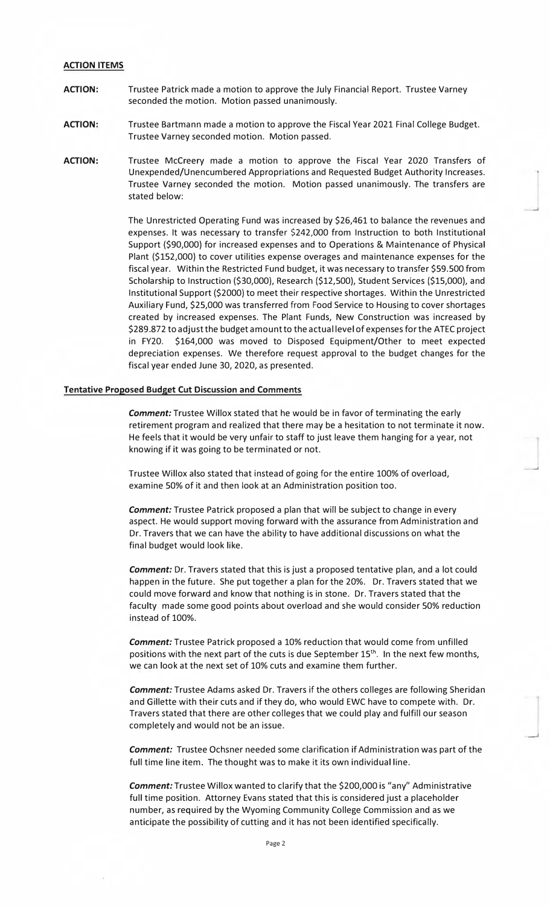#### **ACTION ITEMS**

- **ACTION:** Trustee Patrick made a motion to approve the July Financial Report. Trustee Varney seconded the motion. Motion passed unanimously.
- **ACTION:** Trustee Bartmann made a motion to approve the Fiscal Year 2021 Final College Budget. Trustee Varney seconded motion. Motion passed.
- **ACTION:** Trustee Mccreery made a motion to approve the Fiscal Year 2020 Transfers of Unexpended/Unencumbered Appropriations and Requested Budget Authority Increases. Trustee Varney seconded the motion. Motion passed unanimously. The transfers are stated below:

The Unrestricted Operating Fund was increased by \$26,461 to balance the revenues and expenses. It was necessary to transfer \$242,000 from Instruction to both Institutional Support {\$90,000} for increased expenses and to Operations & Maintenance of Physical Plant {\$152,000} to cover utilities expense overages and maintenance expenses for the fiscal year. Within the Restricted Fund budget, it was necessary to transfer \$59.500 from Scholarship to Instruction {\$30,000), Research (\$12,500}, Student Services (\$15,000}, and Institutional Support {\$2000) to meet their respective shortages. Within the Unrestricted Auxiliary Fund, \$25,000 was transferred from Food Service to Housing to cover shortages created by increased expenses. The Plant Funds, New Construction was increased by \$289.872 to adjust the budget amount to the actual level of expenses for the ATEC project in FY20. \$164,000 was moved to Disposed Equipment/Other to meet expected depreciation expenses. We therefore request approval to the budget changes for the fiscal year ended June 30, 2020, as presented.

#### **Tentative Proposed Budget Cut Discussion and Comments**

*Comment:* Trustee Willox stated that he would be in favor of terminating the early retirement program and realized that there may be a hesitation to not terminate it now. He feels that it would be very unfair to staff to just leave them hanging for a year, not knowing if it was going to be terminated or not.

Trustee Willox also stated that instead of going for the entire 100% of overload, examine 50% of it and then look at an Administration position too.

*Comment:* Trustee Patrick proposed a plan that will be subject to change in every aspect. He would support moving forward with the assurance from Administration and Dr. Travers that we can have the ability to have additional discussions on what the final budget would look like.

*Comment:* Dr. Travers stated that this is just a proposed tentative plan, and a lot could happen in the future. She put together a plan for the 20%. Dr. Travers stated that we could move forward and know that nothing is in stone. Dr. Travers stated that the faculty made some good points about overload and she would consider 50% reduction instead of 100%.

*Comment:* Trustee Patrick proposed a 10% reduction that would come from unfilled positions with the next part of the cuts is due September  $15<sup>th</sup>$ . In the next few months, we can look at the next set of 10% cuts and examine them further.

*Comment:* Trustee Adams asked Dr. Travers if the others colleges are following Sheridan and Gillette with their cuts and if they do, who would EWC have to compete with. Dr. Travers stated that there are other colleges that we could play and fulfill our season completely and would not be an issue.

*Comment:* Trustee Ochsner needed some clarification if Administration was part of the full time line item. The thought was to make it its own individual line.

*Comment:* Trustee Willox wanted to clarify that the \$200,000 is "any" Administrative full time position. Attorney Evans stated that this is considered just a placeholder number, as required by the Wyoming Community College Commission and as we anticipate the possibility of cutting and it has not been identified specifically.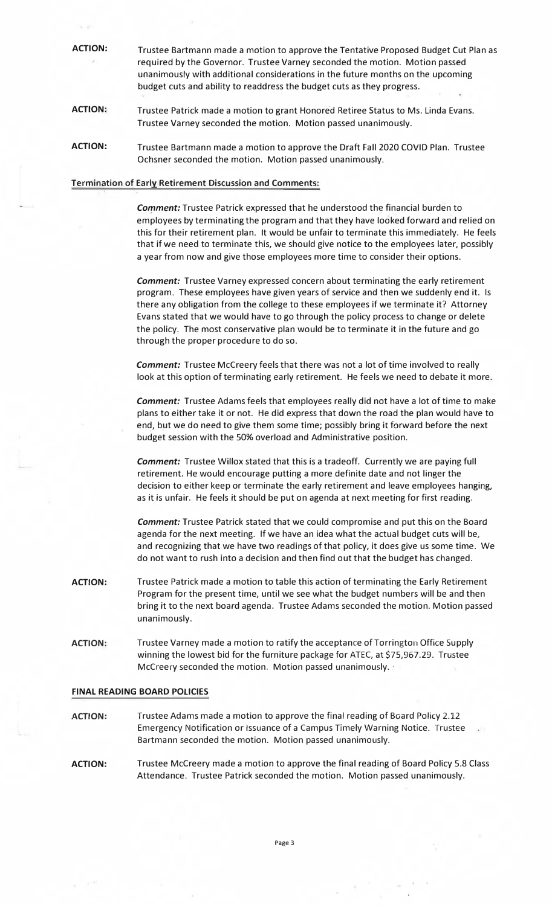**ACTION:** Trustee Bartmann made a motion to approve the Tentative Proposed Budget Cut Plan as required by the Governor. Trustee Varney seconded the motion. Motion passed unanimously with additional considerations in the future months on the upcoming budget cuts and ability to readdress the budget cuts as they progress.

- **ACTION:** Trustee Patrick made a motion to grant Honored Retiree Status to Ms. Linda Evans. Trustee Varney seconded the motion. Motion passed unanimously.
- **ACTION:** Trustee Bartmann made a motion to approve the Draft Fall 2020 COVID Plan. Trustee Ochsner seconded the motion. Motion passed unanimously.

#### **Termination of Early Retirement Discussion and Comments:**

*Comment:* Trustee Patrick expressed that he understood the financial burden to employees by terminating the program and that they have looked forward and relied on this for their retirement plan. It would be unfair to terminate this immediately. He feels that if we need to terminate this, we should give notice to the employees later, possibly a year from now and give those employees more time to consider their options.

*Comment:* Trustee Varney expressed concern about terminating the early retirement program. These employees have given years of service and then we suddenly end it. Is there any obligation from the college to these employees if we terminate it? Attorney Evans stated that we would have to go through the policy process to change or delete the policy. The most conservative plan would be to terminate it in the future and go through the proper procedure to do so.

*Comment:* Trustee Mccreery feels that there was not a lot of time involved to really look at this option of terminating early retirement. He feels we need to debate it more.

*Comment:* Trustee Adams feels that employees really did not have a lot of time to make plans to either take it or not. He did express that down the road the plan would have to end, but we do need to give them some time; possibly bring it forward before the next budget session with the 50% overload and Administrative position.

*Comment:* Trustee Willox stated that this is a tradeoff. Currently we are paying full retirement. He would encourage putting a more definite date and not linger the decision to either keep or terminate the early retirement and leave employees hanging, as it is unfair. He feels it should be put on agenda at next meeting for first reading.

*Comment:* Trustee Patrick stated that we could compromise and put this on the Board agenda for the next meeting. If we have an idea what the actual budget cuts will be, and recognizing that we have two readings of that policy, it does give us some time. We do not want to rush into a decision and then find out that the budget has changed.

- ACTION: Trustee Patrick made a motion to table this action of terminating the Early Retirement Program for the present time, until we see what the budget numbers will be and then bring it to the next board agenda; Trustee Adams seconded the motion. Motion passed unanimously.
- **ACTION:** Trustee Varney made a motion to ratify the acceptance of Torringtoh Office Supply winning the lowest bid for the furniture package for ATEC, at \$[75,967.29](https://75,967.29). Trustee Mccreery seconded the motion. Motion passed unanimously. ·

#### **FINAL READING BOARD POLICIES**

- **ACTION:** Trustee Adams made a motion to approve the final reading of Board Policy 2.12 Emergency Notification or Issuance of a Campus Timely Warning Notice. Trustee Bartmann seconded the motion. Motion passed unanimously.
- **ACTION:** Trustee Mccreery made a motion to approve the final reading of Board Policy 5.8 Class Attendance. Trustee Patrick seconded the motion. Motion passed unanimously.